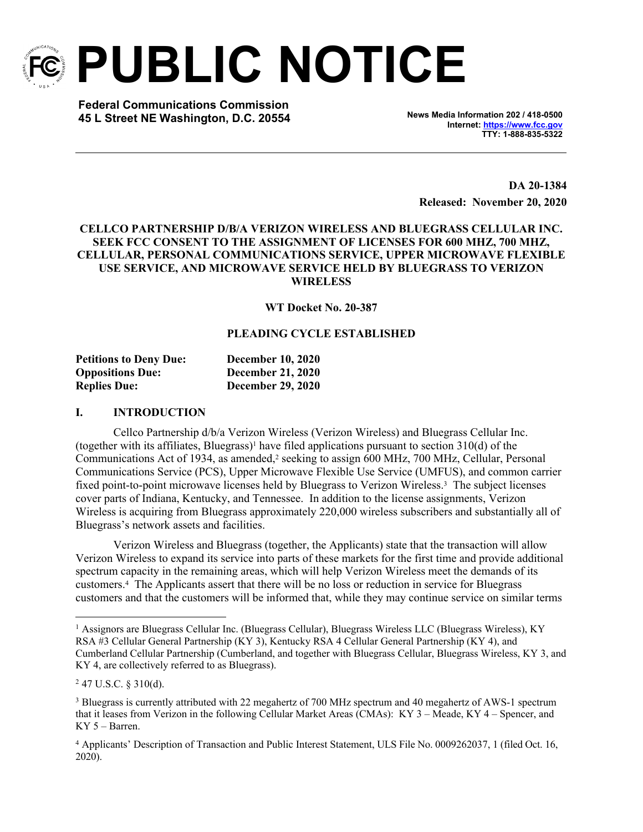

**PUBLIC NOTICE**

**Federal Communications Commission 45 L Street NE Washington, D.C. 20554 News Media Information 202 / 418-0500**

**Internet:<https://www.fcc.gov> TTY: 1-888-835-5322**

**DA 20-1384 Released: November 20, 2020**

### **CELLCO PARTNERSHIP D/B/A VERIZON WIRELESS AND BLUEGRASS CELLULAR INC. SEEK FCC CONSENT TO THE ASSIGNMENT OF LICENSES FOR 600 MHZ, 700 MHZ, CELLULAR, PERSONAL COMMUNICATIONS SERVICE, UPPER MICROWAVE FLEXIBLE USE SERVICE, AND MICROWAVE SERVICE HELD BY BLUEGRASS TO VERIZON WIRELESS**

**WT Docket No. 20-387**

# **PLEADING CYCLE ESTABLISHED**

| <b>Petitions to Deny Due:</b> | <b>December 10, 2020</b> |
|-------------------------------|--------------------------|
| <b>Oppositions Due:</b>       | <b>December 21, 2020</b> |
| <b>Replies Due:</b>           | <b>December 29, 2020</b> |

#### **I. INTRODUCTION**

Cellco Partnership d/b/a Verizon Wireless (Verizon Wireless) and Bluegrass Cellular Inc. (together with its affiliates, Bluegrass)<sup>1</sup> have filed applications pursuant to section  $310(d)$  of the Communications Act of 1934, as amended,<sup>2</sup> seeking to assign 600 MHz, 700 MHz, Cellular, Personal Communications Service (PCS), Upper Microwave Flexible Use Service (UMFUS), and common carrier fixed point-to-point microwave licenses held by Bluegrass to Verizon Wireless.<sup>3</sup> The subject licenses cover parts of Indiana, Kentucky, and Tennessee. In addition to the license assignments, Verizon Wireless is acquiring from Bluegrass approximately 220,000 wireless subscribers and substantially all of Bluegrass's network assets and facilities.

Verizon Wireless and Bluegrass (together, the Applicants) state that the transaction will allow Verizon Wireless to expand its service into parts of these markets for the first time and provide additional spectrum capacity in the remaining areas, which will help Verizon Wireless meet the demands of its customers.<sup>4</sup> The Applicants assert that there will be no loss or reduction in service for Bluegrass customers and that the customers will be informed that, while they may continue service on similar terms

<sup>1</sup> Assignors are Bluegrass Cellular Inc. (Bluegrass Cellular), Bluegrass Wireless LLC (Bluegrass Wireless), KY RSA #3 Cellular General Partnership (KY 3), Kentucky RSA 4 Cellular General Partnership (KY 4), and Cumberland Cellular Partnership (Cumberland, and together with Bluegrass Cellular, Bluegrass Wireless, KY 3, and KY 4, are collectively referred to as Bluegrass).

<sup>2</sup> 47 U.S.C. § 310(d).

<sup>3</sup> Bluegrass is currently attributed with 22 megahertz of 700 MHz spectrum and 40 megahertz of AWS-1 spectrum that it leases from Verizon in the following Cellular Market Areas (CMAs): KY 3 – Meade, KY 4 – Spencer, and KY 5 – Barren.

<sup>4</sup> Applicants' Description of Transaction and Public Interest Statement, ULS File No. 0009262037, 1 (filed Oct. 16, 2020).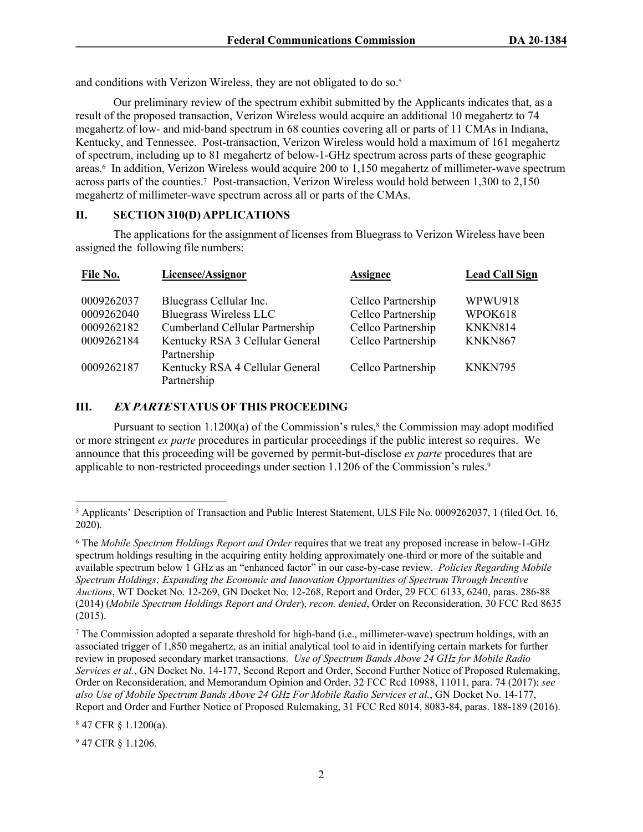and conditions with Verizon Wireless, they are not obligated to do so.<sup>5</sup>

Our preliminary review of the spectrum exhibit submitted by the Applicants indicates that, as a result of the proposed transaction, Verizon Wireless would acquire an additional 10 megahertz to 74 megahertz of low- and mid-band spectrum in 68 counties covering all or parts of 11 CMAs in Indiana, Kentucky, and Tennessee. Post-transaction, Verizon Wireless would hold a maximum of 161 megahertz of spectrum, including up to 81 megahertz of below-1-GHz spectrum across parts of these geographic areas.<sup>6</sup> In addition, Verizon Wireless would acquire 200 to 1,150 megahertz of millimeter-wave spectrum across parts of the counties.<sup>7</sup> Post-transaction, Verizon Wireless would hold between 1,300 to 2,150 megahertz of millimeter-wave spectrum across all or parts of the CMAs.

### **II. SECTION 310(D) APPLICATIONS**

The applications for the assignment of licenses from Bluegrass to Verizon Wireless have been assigned the following file numbers:

| File No.   | Licensee/Assignor                              | <b>Assignee</b>    | <b>Lead Call Sign</b> |
|------------|------------------------------------------------|--------------------|-----------------------|
| 0009262037 | Bluegrass Cellular Inc.                        | Cellco Partnership | WPWU918               |
| 0009262040 | <b>Bluegrass Wireless LLC</b>                  | Cellco Partnership | WPOK618               |
| 0009262182 | Cumberland Cellular Partnership                | Cellco Partnership | <b>KNKN814</b>        |
| 0009262184 | Kentucky RSA 3 Cellular General<br>Partnership | Cellco Partnership | KNKN867               |
| 0009262187 | Kentucky RSA 4 Cellular General<br>Partnership | Cellco Partnership | KNKN795               |

## **III.** *EX PARTE* **STATUS OF THIS PROCEEDING**

Pursuant to section  $1.1200(a)$  of the Commission's rules,<sup>8</sup> the Commission may adopt modified or more stringent *ex parte* procedures in particular proceedings if the public interest so requires. We announce that this proceeding will be governed by permit-but-disclose *ex parte* procedures that are applicable to non-restricted proceedings under section 1.1206 of the Commission's rules.<sup>9</sup>

 $^7$  The Commission adopted a separate threshold for high-band (i.e., millimeter-wave) spectrum holdings, with an associated trigger of 1,850 megahertz, as an initial analytical tool to aid in identifying certain markets for further review in proposed secondary market transactions. *Use of Spectrum Bands Above 24 GHz for Mobile Radio Services et al.*, GN Docket No. 14-177, Second Report and Order, Second Further Notice of Proposed Rulemaking, Order on Reconsideration, and Memorandum Opinion and Order, 32 FCC Rcd 10988, 11011, para. 74 (2017); *see also Use of Mobile Spectrum Bands Above 24 GHz For Mobile Radio Services et al.*, GN Docket No. 14-177, Report and Order and Further Notice of Proposed Rulemaking, 31 FCC Rcd 8014, 8083-84, paras. 188-189 (2016).

<sup>8</sup> 47 CFR § 1.1200(a).

<sup>9</sup> 47 CFR § 1.1206.

<sup>5</sup> Applicants' Description of Transaction and Public Interest Statement, ULS File No. 0009262037, 1 (filed Oct. 16, 2020).

<sup>6</sup> The *Mobile Spectrum Holdings Report and Order* requires that we treat any proposed increase in below-1-GHz spectrum holdings resulting in the acquiring entity holding approximately one-third or more of the suitable and available spectrum below 1 GHz as an "enhanced factor" in our case-by-case review. *Policies Regarding Mobile Spectrum Holdings; Expanding the Economic and Innovation Opportunities of Spectrum Through Incentive Auctions*, WT Docket No. 12-269, GN Docket No. 12-268, Report and Order, 29 FCC 6133, 6240, paras. 286-88 (2014) (*Mobile Spectrum Holdings Report and Order*), *recon. denied*, Order on Reconsideration, 30 FCC Rcd 8635 (2015).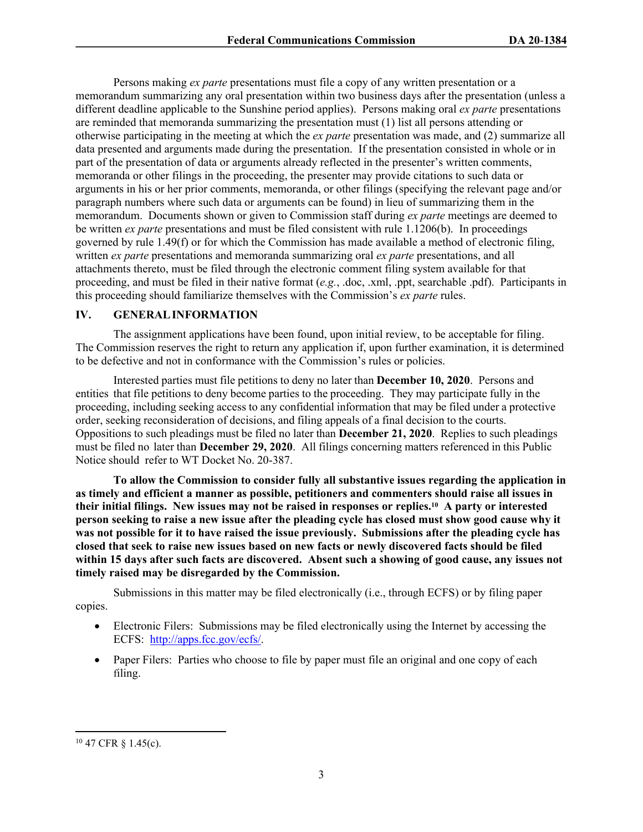Persons making *ex parte* presentations must file a copy of any written presentation or a memorandum summarizing any oral presentation within two business days after the presentation (unless a different deadline applicable to the Sunshine period applies). Persons making oral *ex parte* presentations are reminded that memoranda summarizing the presentation must (1) list all persons attending or otherwise participating in the meeting at which the *ex parte* presentation was made, and (2) summarize all data presented and arguments made during the presentation. If the presentation consisted in whole or in part of the presentation of data or arguments already reflected in the presenter's written comments, memoranda or other filings in the proceeding, the presenter may provide citations to such data or arguments in his or her prior comments, memoranda, or other filings (specifying the relevant page and/or paragraph numbers where such data or arguments can be found) in lieu of summarizing them in the memorandum. Documents shown or given to Commission staff during *ex parte* meetings are deemed to be written *ex parte* presentations and must be filed consistent with rule 1.1206(b). In proceedings governed by rule 1.49(f) or for which the Commission has made available a method of electronic filing, written *ex parte* presentations and memoranda summarizing oral *ex parte* presentations, and all attachments thereto, must be filed through the electronic comment filing system available for that proceeding, and must be filed in their native format (*e.g.*, .doc, .xml, .ppt, searchable .pdf). Participants in this proceeding should familiarize themselves with the Commission's *ex parte* rules.

## **IV. GENERAL INFORMATION**

The assignment applications have been found, upon initial review, to be acceptable for filing. The Commission reserves the right to return any application if, upon further examination, it is determined to be defective and not in conformance with the Commission's rules or policies.

Interested parties must file petitions to deny no later than **December 10, 2020**. Persons and entities that file petitions to deny become parties to the proceeding. They may participate fully in the proceeding, including seeking access to any confidential information that may be filed under a protective order, seeking reconsideration of decisions, and filing appeals of a final decision to the courts. Oppositions to such pleadings must be filed no later than **December 21, 2020**. Replies to such pleadings must be filed no later than **December 29, 2020**. All filings concerning matters referenced in this Public Notice should refer to WT Docket No. 20-387.

**To allow the Commission to consider fully all substantive issues regarding the application in as timely and efficient a manner as possible, petitioners and commenters should raise all issues in their initial filings. New issues may not be raised in responses or replies.10 A party or interested person seeking to raise a new issue after the pleading cycle has closed must show good cause why it was not possible for it to have raised the issue previously. Submissions after the pleading cycle has closed that seek to raise new issues based on new facts or newly discovered facts should be filed within 15 days after such facts are discovered. Absent such a showing of good cause, any issues not timely raised may be disregarded by the Commission.**

Submissions in this matter may be filed electronically (i.e., through ECFS) or by filing paper copies.

- Electronic Filers: Submissions may be filed electronically using the Internet by accessing the ECFS: [http://apps.fcc.gov/ecfs/.](http://apps.fcc.gov/ecfs/)
- Paper Filers: Parties who choose to file by paper must file an original and one copy of each filing.

<sup>10</sup> 47 CFR § 1.45(c).